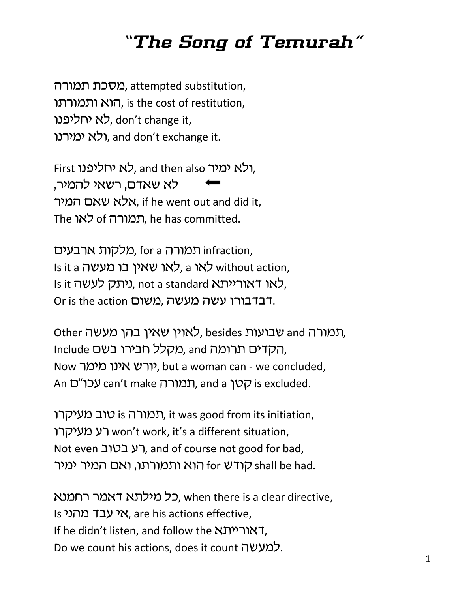## *"The Song of Temurah"*

מסכת תמורה, attempted substitution, הוא ותמורתו, is the cost of restitution, לא יחליפנו, don't change it, ולא ימירנו, and don't exchange it.

First ולא ימיר, and then also לא יחליפנו, לא שאדם, רשאי להמיר, אלא שאם המיר, if he went out and did it, The לאו of תמורה, he has committed.

מלקות ארבעים, for a מלקות ה Is it a לאו שאין בו מעשה, a kלאו without action, Is it ניתק לעשה, not a standard לאו דאוריית, Or is the action רבדבורו עשה מעשה, משום

Other סבועות, besides לאוין שאין בהן מעשה, Include הקדים תרומה and מקלל חבירו בשם, Now יורש אינו מימר, but a woman can - we concluded, An עכו"כ can't make תמורה, and a קטן, is excluded.

תמורה is טוב מעיקרו, it was good from its initiation, רע מעיקרו won't work, it's a different situation, Not even רע בטוב, and of course not good for bad, קודש for הוא ותמורתו, ואם המיר ימיר  $\epsilon$ hall be had.

כל מילתא דאמר רחמנא, when there is a clear directive, Is אי עבד מהני s ואי שבד, are his actions effective, If he didn't listen, and follow the ורייתא $\tau$ ,  $\sim$  Do we count his actions, does it count למעשה.  $1$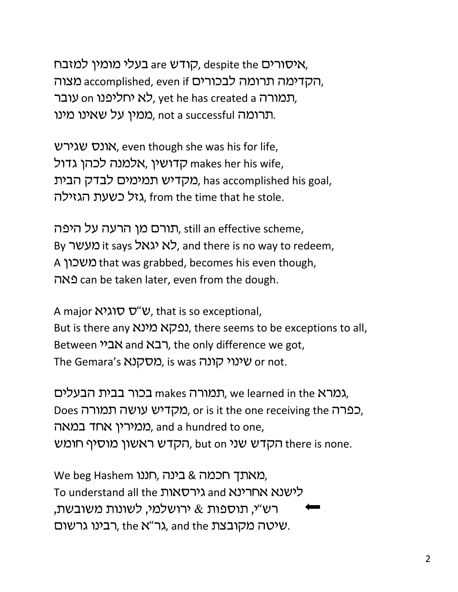קודש are בעלי מומין למזבח, despite the האיסורים, הקדימה תרומה לבכורים accomplished, even if ה תמורה vet he has created a לא יחליפנו, ווע תרומה not a successful ממין על שאינו מינו.

**Kונס שגירש**, even though she was his for life, קדושין makes her his wife, מקדיש תמימים לבדק הבית, has accomplished his goal, גזל כשעת הגזילה. from the time that he stole.

תורם מן הרעה על היפה, still an effective scheme, By מעשר, and there is no way to redeem, A משכון that was grabbed, becomes his even though, vtp can be taken later, even from the dough.

A major  $N\lambda$   $\sigma$   $\nu$ , that is so exceptional, But is there any נפקא מינא (נפה), there seems to be exceptions to all, Between הבא and רבא and the only difference we got, The Gemara's מסקנא. is was שינוי קונה, is wor not.

תמורה makes בכור בבית הבעלים, we learned in the  $\lambda$ ג), Does כפרה, מקדיש עושה תמורה, or is it the one receiving the כפרה, ממירין אחד במאה), and a hundred to one, הקדש ראשון מוסיף חומש ithere is none.

We beg Hashem כינה, חננו, we beg Hashem To understand all the גירסאות and  $\lambda$ לישנא אחרינא רש"י, תוספות & ירושלמי, לשונות משובשת, רבינו גרשום. the גר"א, and the שיטה מקובצת.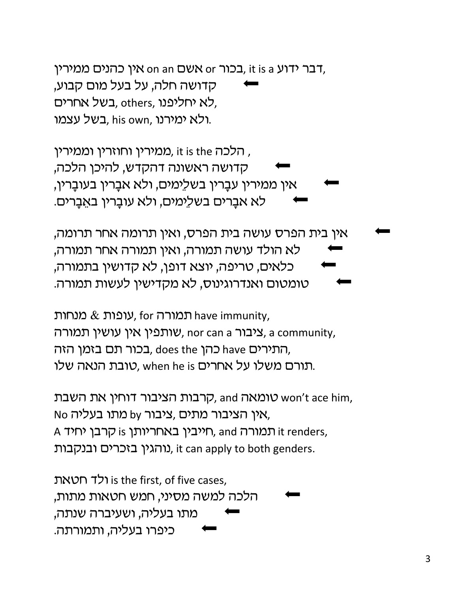ולד חטאת is the first, of five cases, הלכה למשה מסיני, חמש חטאות מתות, מתו בעליה, ושעיברה שנתה, כיפרו בעליה, ותמורתה.

קרבות הציבור דוחין את השבת, and האמאה, and האבת No מתו בעליה by אין הציבור מתים, ציבור, A האריותן is קרבן יחיד, and nit renders, נוהגין בזכרים ובנקבות, it can apply to both genders.

עופות  $\&$  מנחות, for עופות, have immunity, ציבור a community, inor can a ציבור, a community, התירים have כהן does the בכור תם בזמן הזה, תורם משלו על אחרים when he is ,טובת הנאה שלו.

אין בית הפרס עושה בית הפרס, ואין תרומה אחר תרומה, לא הולד עושה תמורה, ואין תמורה אחר תמורה, כלאים, טריפה, יוצא דופן, לא קדושין בתמורה, טומטום ואנדרוגינוס, לא מקדישין לעשות תמורה.

ממירין וחוזרין וממירין, it is the הלכה, קדושה ראשונה דהקדש, להיכן הלכה, אין ממירין עבָרין בשלֵימים, ולא אבָרין בעובָרין, לא אברים בשלֵימים, ולא עוברין באֱבַרים.

בר ידוע s it is a בכור or אשם or אין כהנים ממירין, קדושה חלה, על בעל מום קבוע, כא יחליפנו, others, בשל אחרים, בשל עצמו. his own, ולא ימירנו.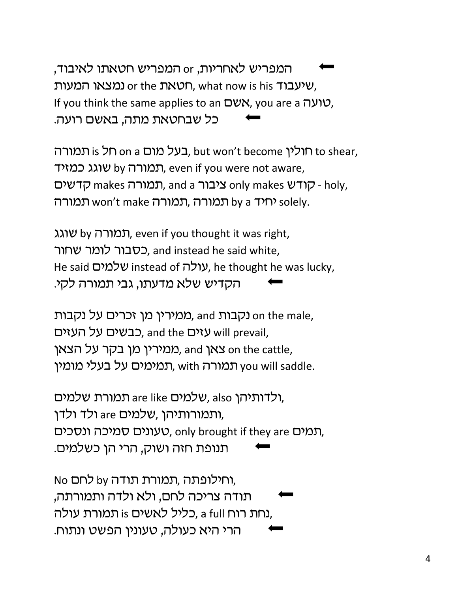המפריש לאחריות, or המפריש חטאתו לאיבוד, שיעבוד or the סמאת, what now is his שיעבוד, If you think the same applies to an שמאָם, you are a vux, כל שבחטאת מתה, באשם רועה.

בעל מום a on a הולין, but won't become וחולין, b shear, תמורה by תמורה, even if you were not aware, Ghases CHTW only makes choly, תמורה makes ptwto תמורה, תמורה, תמורה won't make יחיד) solely.

תמורה by תמורה, even if you thought it was right, כסבור לומר שחור. and instead he said white, He said שלמים, he thought he was lucky, הקדיש שלא מדעתו, גבי תמורה לקי.

ממירין מן זכרים על נקבות), and מאירין או כבשים על העזים, and the כבשים על העזים, and the oh ממירין מן בקר על הצאן, and **צאן** on the cattle, תמימים על בעלי מומין, with תמימים, will saddle.

ולדותיהן are like שלמים, also תמורת שלמים, ותמורותיהן ,שלמים are ולד ולדן, תמים ונסכים, only brought if they are תמים, תנופת חזה ושוק, הרי הן כשלמים.

No כחילופתה, תמורת תודה by לחם, תודה צריכה לחם, ולא ולדה ותמורתה, נחת רוח a full ,כליל לאשים is תמורת עולה, הרי היא כעולה, טעונין הפשט ונתוח.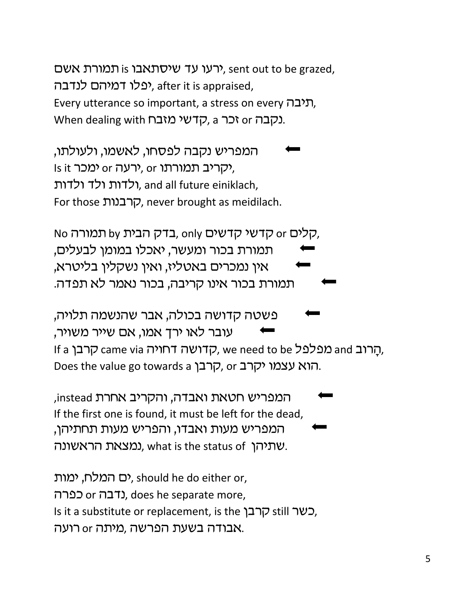ירעו עד שיסתאבו is יהערער אשם, sent out to be grazed, יפלו דמיהם לנדבה, after it is appraised, Every utterance so important, a stress on every תיבה, Uhen dealing with קדשי מזבח. a iczn ונקבה.

המפריש נקבה לפסחו, לאשמו, ולעולתו, Is it יקריב תמורתו or ימכר, ולדות ולד ולדות, and all future einiklach, For those קרבנות, never brought as meidilach.

No קלים by קדשי קדשים, only הארה ס $\sigma$ , הא תמורת בכור ומעשר, יאכלו במומן לבעלים, אין נמכרים באטליז, ואין נשקלין בליטרא, תמורת בכור אינו קריבה, בכור נאמר לא תפדה.

'פשטה קדושה בכולה, אבר שהנשמה תלויה, עובר לאו ירד אמו, אם שייר משויר, If a הרוב ame via מפלפל (עם יהוויה came via הרובן, we need to be הרבן, Does the value go towards a קרבן, or הוא עצמו יקרב.

המפריש חטאת ואבדה, והקריב אחרת instead, If the first one is found, it must be left for the dead, המפריש מעות ואבדו, והפריש מעות תחתיהן, שתיהן ,what is the status of נמצאת הראשונה.

ים המלח, ימות), should he do either or, כפרה), does he separate more, Is it a substitute or replacement, is the קרבן, still out אבודה בשעת הפרשה ,מיתה or רועה.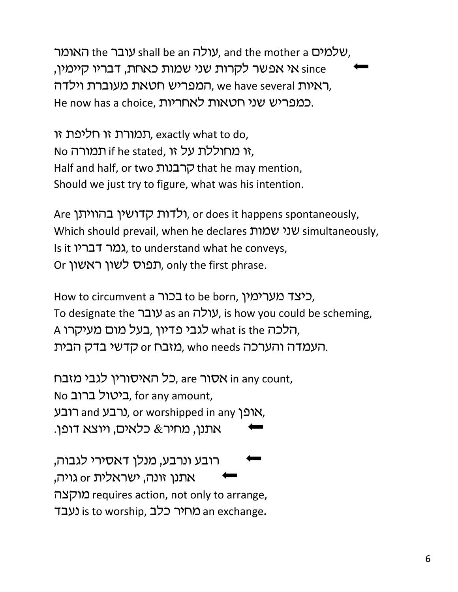שלמים the mother a עולה shall be an שלמים, and the mother a שלמים, אי אפשר לקרות שני שמות כאחת, דבריו קיימין, since המפריש חטאת מעוברת וילדה, we have several , He now has a choice, כמפריש שני חטאות לאחריות.

תמורת זו חליפת זו, exactly what to do,  $N$ n מחוללת על זו if he stated, זו מחוללת על  $\zeta$ Half and half, or two קרבנות that he may mention, Should we just try to figure, what was his intention.

Are ולדות קדושין בהוויתן, or does it happens spontaneously, Which should prevail, when he declares שני שמות simultaneously, Is it גמר דבריו, to understand what he conveys, Or תפוס לשון ראשון, only the first phrase.

How to circumvent a בכור to be born, כיצד מערימין, To designate the עולה as an עולה, is how you could be scheming, A הלכה what is the לגבי פדיון, בעל מום מעיקרו, העמדה והערכה who needs מזבח or קדשי בדק הבית.

כל האיסורין לגבי מזבח, are האטור, in any count, No ביטול ברוב, for any amount, רבע, and כרבע, or worshipped in any אופן, אתנן, מחיר $\&$  כלאים, ויוצא דופן.

רובע ונרבע, מנלו דאסירי לגבוה, אתנן זונה, ישראלית or גויה, vmeun requires action, not only to arrange, scgb is to worship, ckf rhjn an exchange**.**